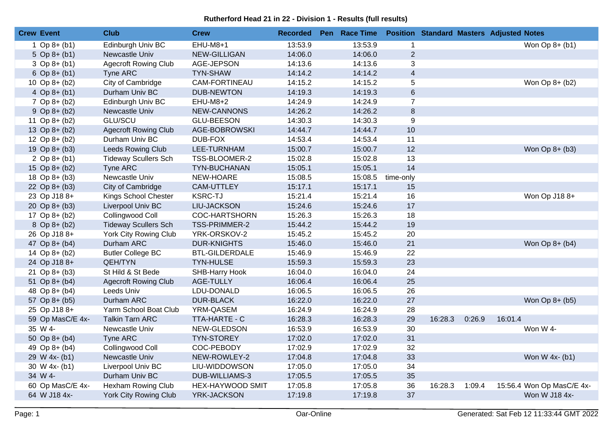## **Rutherford Head 21 in 22 - Division 1 - Results (full results)**

| <b>Crew Event</b> | <b>Club</b>                  | <b>Crew</b>             | <b>Recorded</b> | Pen Race Time |                   |         |        | <b>Position Standard Masters Adjusted Notes</b> |  |
|-------------------|------------------------------|-------------------------|-----------------|---------------|-------------------|---------|--------|-------------------------------------------------|--|
| $1$ Op 8+ (b1)    | Edinburgh Univ BC            | $EHU-M8+1$              | 13:53.9         | 13:53.9       | $\mathbf{1}$      |         |        | Won $Op 8+ (b1)$                                |  |
| 5 Op $8 + (b1)$   | Newcastle Univ               | NEW-GILLIGAN            | 14:06.0         | 14:06.0       | $\sqrt{2}$        |         |        |                                                 |  |
| $3$ Op 8+ (b1)    | <b>Agecroft Rowing Club</b>  | AGE-JEPSON              | 14:13.6         | 14:13.6       | 3                 |         |        |                                                 |  |
| 6 Op $8 + (b1)$   | Tyne ARC                     | <b>TYN-SHAW</b>         | 14:14.2         | 14:14.2       | $\overline{4}$    |         |        |                                                 |  |
| 10 Op $8 + (b2)$  | City of Cambridge            | CAM-FORTINEAU           | 14:15.2         | 14:15.2       | $\overline{5}$    |         |        | Won Op 8+ (b2)                                  |  |
| 4 Op $8 + (b1)$   | Durham Univ BC               | <b>DUB-NEWTON</b>       | 14:19.3         | 14:19.3       | $\,6\,$           |         |        |                                                 |  |
| $7$ Op 8+ (b2)    | Edinburgh Univ BC            | EHU-M8+2                | 14:24.9         | 14:24.9       | $\overline{7}$    |         |        |                                                 |  |
| $9$ Op $8 + (b2)$ | Newcastle Univ               | NEW-CANNONS             | 14:26.2         | 14:26.2       | $\bf 8$           |         |        |                                                 |  |
| 11 Op $8 + (b2)$  | <b>GLU/SCU</b>               | <b>GLU-BEESON</b>       | 14:30.3         | 14:30.3       | $\boldsymbol{9}$  |         |        |                                                 |  |
| 13 Op 8+ (b2)     | <b>Agecroft Rowing Club</b>  | AGE-BOBROWSKI           | 14:44.7         | 14:44.7       | 10                |         |        |                                                 |  |
| 12 Op $8 + (b2)$  | Durham Univ BC               | DUB-FOX                 | 14:53.4         | 14:53.4       | 11                |         |        |                                                 |  |
| 19 Op $8 + (b3)$  | Leeds Rowing Club            | LEE-TURNHAM             | 15:00.7         | 15:00.7       | 12                |         |        | Won Op 8+ (b3)                                  |  |
| 2 Op $8 + (b1)$   | <b>Tideway Scullers Sch</b>  | TSS-BLOOMER-2           | 15:02.8         | 15:02.8       | 13                |         |        |                                                 |  |
| 15 Op 8+ (b2)     | Tyne ARC                     | <b>TYN-BUCHANAN</b>     | 15:05.1         | 15:05.1       | 14                |         |        |                                                 |  |
| 18 Op 8+ (b3)     | Newcastle Univ               | NEW-HOARE               | 15:08.5         |               | 15:08.5 time-only |         |        |                                                 |  |
| 22 Op $8 + (b3)$  | City of Cambridge            | <b>CAM-UTTLEY</b>       | 15:17.1         | 15:17.1       | 15                |         |        |                                                 |  |
| 23 Op J18 8+      | Kings School Chester         | <b>KSRC-TJ</b>          | 15:21.4         | 15:21.4       | 16                |         |        | Won Op J18 8+                                   |  |
| 20 Op $8 + (b3)$  | Liverpool Univ BC            | <b>LIU-JACKSON</b>      | 15:24.6         | 15:24.6       | 17                |         |        |                                                 |  |
| 17 Op $8 + (b2)$  | Collingwood Coll             | COC-HARTSHORN           | 15:26.3         | 15:26.3       | 18                |         |        |                                                 |  |
| $8$ Op $8 + (b2)$ | <b>Tideway Scullers Sch</b>  | TSS-PRIMMER-2           | 15:44.2         | 15:44.2       | 19                |         |        |                                                 |  |
| 26 Op J18 8+      | York City Rowing Club        | YRK-ORSKOV-2            | 15:45.2         | 15:45.2       | 20                |         |        |                                                 |  |
| 47 Op 8+ (b4)     | Durham ARC                   | <b>DUR-KNIGHTS</b>      | 15:46.0         | 15:46.0       | 21                |         |        | Won Op 8+ (b4)                                  |  |
| 14 Op 8+ (b2)     | <b>Butler College BC</b>     | <b>BTL-GILDERDALE</b>   | 15:46.9         | 15:46.9       | 22                |         |        |                                                 |  |
| 24 Op J18 8+      | <b>QEH/TYN</b>               | <b>TYN-HULSE</b>        | 15:59.3         | 15:59.3       | 23                |         |        |                                                 |  |
| 21 Op $8 + (b3)$  | St Hild & St Bede            | SHB-Harry Hook          | 16:04.0         | 16:04.0       | 24                |         |        |                                                 |  |
| 51 Op $8 + (b4)$  | <b>Agecroft Rowing Club</b>  | <b>AGE-TULLY</b>        | 16:06.4         | 16:06.4       | 25                |         |        |                                                 |  |
| 48 Op 8+ (b4)     | Leeds Univ                   | LDU-DONALD              | 16:06.5         | 16:06.5       | 26                |         |        |                                                 |  |
| 57 Op 8+ (b5)     | Durham ARC                   | <b>DUR-BLACK</b>        | 16:22.0         | 16:22.0       | 27                |         |        | Won Op 8+ (b5)                                  |  |
| 25 Op J18 8+      | Yarm School Boat Club        | YRM-QASEM               | 16:24.9         | 16:24.9       | 28                |         |        |                                                 |  |
| 59 Op MasC/E 4x-  | <b>Talkin Tarn ARC</b>       | TTA-HARTE - C           | 16:28.3         | 16:28.3       | 29                | 16:28.3 | 0:26.9 | 16:01.4                                         |  |
| 35 W 4-           | Newcastle Univ               | NEW-GLEDSON             | 16:53.9         | 16:53.9       | 30                |         |        | Won W 4-                                        |  |
| 50 Op $8 + (b4)$  | Tyne ARC                     | <b>TYN-STOREY</b>       | 17:02.0         | 17:02.0       | 31                |         |        |                                                 |  |
| 49 Op 8+ (b4)     | Collingwood Coll             | COC-PEBODY              | 17:02.9         | 17:02.9       | 32                |         |        |                                                 |  |
| 29 W 4x- (b1)     | Newcastle Univ               | NEW-ROWLEY-2            | 17:04.8         | 17:04.8       | 33                |         |        | Won W 4x- (b1)                                  |  |
| 30 W 4x- (b1)     | Liverpool Univ BC            | LIU-WIDDOWSON           | 17:05.0         | 17:05.0       | 34                |         |        |                                                 |  |
| 34 W 4-           | Durham Univ BC               | DUB-WILLIAMS-3          | 17:05.5         | 17:05.5       | 35                |         |        |                                                 |  |
| 60 Op MasC/E 4x-  | Hexham Rowing Club           | <b>HEX-HAYWOOD SMIT</b> | 17:05.8         | 17:05.8       | 36                | 16:28.3 | 1:09.4 | 15:56.4 Won Op MasC/E 4x-                       |  |
| 64 W J18 4x-      | <b>York City Rowing Club</b> | YRK-JACKSON             | 17:19.8         | 17:19.8       | 37                |         |        | Won W J18 4x-                                   |  |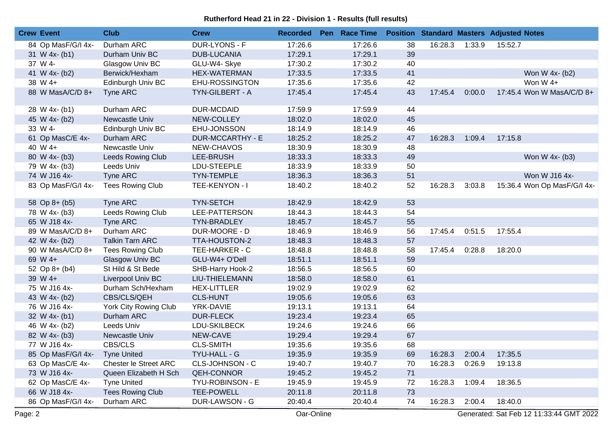## **Rutherford Head 21 in 22 - Division 1 - Results (full results)**

| <b>Crew Event</b>              | <b>Club</b>              | <b>Crew</b>           | <b>Recorded</b> | Pen Race Time |    |         |                | <b>Position Standard Masters Adjusted Notes</b> |
|--------------------------------|--------------------------|-----------------------|-----------------|---------------|----|---------|----------------|-------------------------------------------------|
| 84 Op MasF/G/I 4x-             | Durham ARC               | DUR-LYONS - F         | 17:26.6         | 17:26.6       | 38 |         | 16:28.3 1:33.9 | 15:52.7                                         |
| 31 W 4x- (b1)                  | Durham Univ BC           | <b>DUB-LUCANIA</b>    | 17:29.1         | 17:29.1       | 39 |         |                |                                                 |
| 37 W 4-                        | Glasgow Univ BC          | GLU-W4- Skye          | 17:30.2         | 17:30.2       | 40 |         |                |                                                 |
| 41 W 4x- (b2)                  | Berwick/Hexham           | HEX-WATERMAN          | 17:33.5         | 17:33.5       | 41 |         |                | Won W 4x- (b2)                                  |
| 38 W 4+                        | Edinburgh Univ BC        | EHU-ROSSINGTON        | 17:35.6         | 17:35.6       | 42 |         |                | Won W 4+                                        |
| 88 W MasA/C/D 8+               | Tyne ARC                 | TYN-GILBERT - A       | 17:45.4         | 17:45.4       | 43 | 17:45.4 | 0:00.0         | 17:45.4 Won W MasA/C/D 8+                       |
| 28 W 4x- (b1)                  | Durham ARC               | <b>DUR-MCDAID</b>     | 17:59.9         | 17:59.9       | 44 |         |                |                                                 |
| 45 W 4x- (b2)                  | Newcastle Univ           | NEW-COLLEY            | 18:02.0         | 18:02.0       | 45 |         |                |                                                 |
| 33 W 4-                        | Edinburgh Univ BC        | EHU-JONSSON           | 18:14.9         | 18:14.9       | 46 |         |                |                                                 |
| 61 Op MasC/E 4x-               | Durham ARC               | DUR-MCCARTHY - E      | 18:25.2         | 18:25.2       | 47 | 16:28.3 | 1:09.4         | 17:15.8                                         |
| 40 W 4+                        | Newcastle Univ           | NEW-CHAVOS            | 18:30.9         | 18:30.9       | 48 |         |                |                                                 |
| 80 W 4x- (b3)                  | Leeds Rowing Club        | LEE-BRUSH             | 18:33.3         | 18:33.3       | 49 |         |                | Won W 4x- (b3)                                  |
| 79 W 4x- (b3)                  | Leeds Univ               | LDU-STEEPLE           | 18:33.9         | 18:33.9       | 50 |         |                |                                                 |
| 74 W J16 4x-                   | Tyne ARC                 | <b>TYN-TEMPLE</b>     | 18:36.3         | 18:36.3       | 51 |         |                | Won W J16 4x-                                   |
| 83 Op MasF/G/I 4x-             | <b>Tees Rowing Club</b>  | TEE-KENYON - I        | 18:40.2         | 18:40.2       | 52 | 16:28.3 | 3:03.8         | 15:36.4 Won Op MasF/G/I 4x-                     |
| 58 Op 8+ (b5)                  | Tyne ARC                 | <b>TYN-SETCH</b>      | 18:42.9         | 18:42.9       | 53 |         |                |                                                 |
| 78 W 4x- (b3)                  | <b>Leeds Rowing Club</b> | LEE-PATTERSON         | 18:44.3         | 18:44.3       | 54 |         |                |                                                 |
| 65 W J18 4x-                   | Tyne ARC                 | TYN-BRADLEY           | 18:45.7         | 18:45.7       | 55 |         |                |                                                 |
| 89 W MasA/C/D 8+               | Durham ARC               | DUR-MOORE - D         | 18:46.9         | 18:46.9       | 56 | 17:45.4 | 0:51.5         | 17:55.4                                         |
| 42 W 4x- (b2)                  | <b>Talkin Tarn ARC</b>   | TTA-HOUSTON-2         | 18:48.3         | 18:48.3       | 57 |         |                |                                                 |
| 90 W MasA/C/D 8+               | <b>Tees Rowing Club</b>  | TEE-HARKER - C        | 18:48.8         | 18:48.8       | 58 |         | 17:45.4 0:28.8 | 18:20.0                                         |
| 69 W 4+                        | <b>Glasgow Univ BC</b>   | GLU-W4+ O'Dell        | 18:51.1         | 18:51.1       | 59 |         |                |                                                 |
| 52 Op 8+ (b4)                  | St Hild & St Bede        | SHB-Harry Hook-2      | 18:56.5         | 18:56.5       | 60 |         |                |                                                 |
| 39 W 4+                        | Liverpool Univ BC        | LIU-THIELEMANN        | 18:58.0         | 18:58.0       | 61 |         |                |                                                 |
| 75 W J16 4x-                   | Durham Sch/Hexham        | <b>HEX-LITTLER</b>    | 19:02.9         | 19:02.9       | 62 |         |                |                                                 |
| 43 W 4x- (b2)                  | CBS/CLS/QEH              | <b>CLS-HUNT</b>       | 19:05.6         | 19:05.6       | 63 |         |                |                                                 |
| 76 W J16 4x-                   | York City Rowing Club    | YRK-DAVIE             | 19:13.1         | 19:13.1       | 64 |         |                |                                                 |
| 32 W 4x- (b1)                  | Durham ARC               | <b>DUR-FLECK</b>      | 19:23.4         | 19:23.4       | 65 |         |                |                                                 |
| 46 W 4x- (b2)                  | Leeds Univ               | LDU-SKILBECK          | 19:24.6         | 19:24.6       | 66 |         |                |                                                 |
| 82 W 4x- (b3)                  | Newcastle Univ           | NEW-CAVE              | 19:29.4         | 19:29.4       | 67 |         |                |                                                 |
| 77 W J16 4x-                   | CBS/CLS                  | <b>CLS-SMITH</b>      | 19:35.6         | 19:35.6       | 68 |         |                |                                                 |
| 85 Op MasF/G/I 4x- Tyne United |                          | TYU-HALL - G          | 19:35.9         | 19:35.9       | 69 |         |                | 16:28.3 2:00.4 17:35.5                          |
| 63 Op MasC/E 4x-               | Chester le Street ARC    | CLS-JOHNSON - C       | 19:40.7         | 19:40.7       | 70 | 16:28.3 | 0:26.9         | 19:13.8                                         |
| 73 W J16 4x-                   | Queen Elizabeth H Sch    | <b>QEH-CONNOR</b>     | 19:45.2         | 19:45.2       | 71 |         |                |                                                 |
| 62 Op MasC/E 4x-               | <b>Tyne United</b>       | TYU-ROBINSON - E      | 19:45.9         | 19:45.9       | 72 | 16:28.3 | 1:09.4         | 18:36.5                                         |
| 66 W J18 4x-                   | <b>Tees Rowing Club</b>  | <b>TEE-POWELL</b>     | 20:11.8         | 20:11.8       | 73 |         |                |                                                 |
| 86 Op MasF/G/I 4x-             | Durham ARC               | <b>DUR-LAWSON - G</b> | 20:40.4         | 20:40.4       | 74 | 16:28.3 | 2:00.4         | 18:40.0                                         |